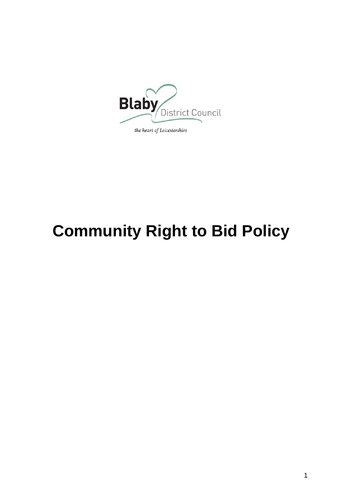

# **Community Right to Bid Policy**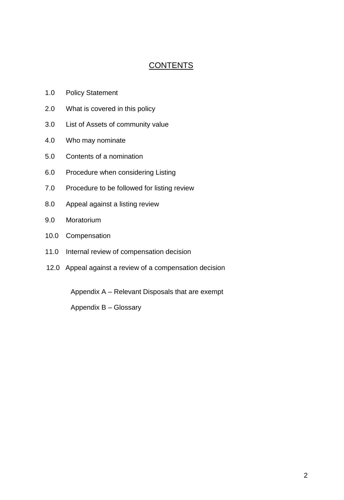## **CONTENTS**

- 1.0 Policy Statement
- 2.0 What is covered in this policy
- 3.0 List of Assets of community value
- 4.0 Who may nominate
- 5.0 Contents of a nomination
- 6.0 Procedure when considering Listing
- 7.0 Procedure to be followed for listing review
- 8.0 Appeal against a listing review
- 9.0 Moratorium
- 10.0 Compensation
- 11.0 Internal review of compensation decision
- 12.0 Appeal against a review of a compensation decision

Appendix A – Relevant Disposals that are exempt

Appendix B – Glossary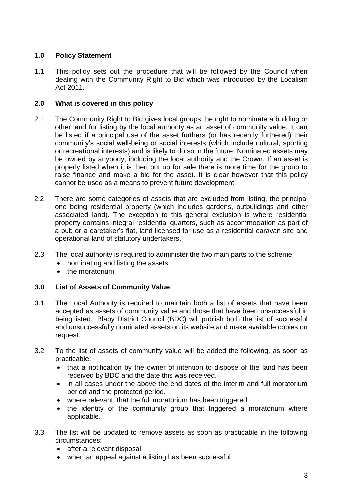### **1.0 Policy Statement**

1.1 This policy sets out the procedure that will be followed by the Council when dealing with the Community Right to Bid which was introduced by the Localism Act 2011.

#### **2.0 What is covered in this policy**

- 2.1 The Community Right to Bid gives local groups the right to nominate a building or other land for listing by the local authority as an asset of community value. It can be listed if a principal use of the asset furthers (or has recently furthered) their community's social well-being or social interests (which include cultural, sporting or recreational interests) and is likely to do so in the future. Nominated assets may be owned by anybody, including the local authority and the Crown. If an asset is properly listed when it is then put up for sale there is more time for the group to raise finance and make a bid for the asset. It is clear however that this policy cannot be used as a means to prevent future development.
- 2.2 There are some categories of assets that are excluded from listing, the principal one being residential property (which includes gardens, outbuildings and other associated land). The exception to this general exclusion is where residential property contains integral residential quarters, such as accommodation as part of a pub or a caretaker's flat, land licensed for use as a residential caravan site and operational land of statutory undertakers.
- 2.3 The local authority is required to administer the two main parts to the scheme:
	- nominating and listing the assets
	- the moratorium

#### **3.0 List of Assets of Community Value**

- 3.1 The Local Authority is required to maintain both a list of assets that have been accepted as assets of community value and those that have been unsuccessful in being listed. Blaby District Council (BDC) will publish both the list of successful and unsuccessfully nominated assets on its website and make available copies on request.
- 3.2 To the list of assets of community value will be added the following, as soon as practicable:
	- that a notification by the owner of intention to dispose of the land has been received by BDC and the date this was received.
	- in all cases under the above the end dates of the interim and full moratorium period and the protected period.
	- where relevant, that the full moratorium has been triggered
	- the identity of the community group that triggered a moratorium where applicable.
- 3.3 The list will be updated to remove assets as soon as practicable in the following circumstances:
	- after a relevant disposal
	- when an appeal against a listing has been successful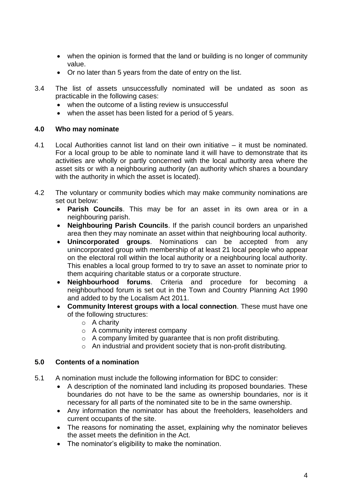- when the opinion is formed that the land or building is no longer of community value.
- Or no later than 5 years from the date of entry on the list.
- 3.4 The list of assets unsuccessfully nominated will be undated as soon as practicable in the following cases:
	- when the outcome of a listing review is unsuccessful
	- when the asset has been listed for a period of 5 years.

#### **4.0 Who may nominate**

- 4.1 Local Authorities cannot list land on their own initiative it must be nominated. For a local group to be able to nominate land it will have to demonstrate that its activities are wholly or partly concerned with the local authority area where the asset sits or with a neighbouring authority (an authority which shares a boundary with the authority in which the asset is located).
- 4.2 The voluntary or community bodies which may make community nominations are set out below:
	- **Parish Councils**. This may be for an asset in its own area or in a neighbouring parish.
	- **Neighbouring Parish Councils**. If the parish council borders an unparished area then they may nominate an asset within that neighbouring local authority.
	- **Unincorporated groups**. Nominations can be accepted from any unincorporated group with membership of at least 21 local people who appear on the electoral roll within the local authority or a neighbouring local authority. This enables a local group formed to try to save an asset to nominate prior to them acquiring charitable status or a corporate structure.
	- **Neighbourhood forums**. Criteria and procedure for becoming a neighbourhood forum is set out in the Town and Country Planning Act 1990 and added to by the Localism Act 2011.
	- **Community Interest groups with a local connection**. These must have one of the following structures:
		- o A charity
		- o A community interest company
		- o A company limited by guarantee that is non profit distributing.
		- o An industrial and provident society that is non-profit distributing.

#### **5.0 Contents of a nomination**

- 5.1 A nomination must include the following information for BDC to consider:
	- A description of the nominated land including its proposed boundaries. These boundaries do not have to be the same as ownership boundaries, nor is it necessary for all parts of the nominated site to be in the same ownership.
	- Any information the nominator has about the freeholders, leaseholders and current occupants of the site.
	- The reasons for nominating the asset, explaining why the nominator believes the asset meets the definition in the Act.
	- The nominator's eligibility to make the nomination.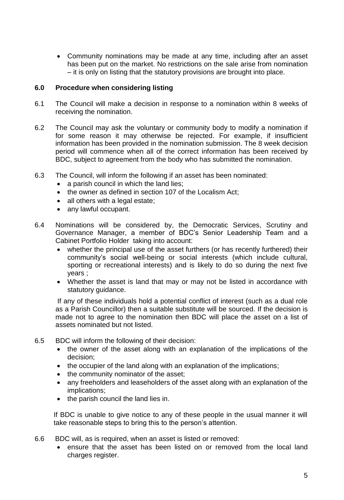Community nominations may be made at any time, including after an asset has been put on the market. No restrictions on the sale arise from nomination – it is only on listing that the statutory provisions are brought into place.

#### **6.0 Procedure when considering listing**

- 6.1 The Council will make a decision in response to a nomination within 8 weeks of receiving the nomination.
- 6.2 The Council may ask the voluntary or community body to modify a nomination if for some reason it may otherwise be rejected. For example, if insufficient information has been provided in the nomination submission. The 8 week decision period will commence when all of the correct information has been received by BDC, subject to agreement from the body who has submitted the nomination.
- 6.3 The Council, will inform the following if an asset has been nominated:
	- a parish council in which the land lies;
	- the owner as defined in section 107 of the Localism Act;
	- all others with a legal estate;
	- any lawful occupant.
- 6.4 Nominations will be considered by, the Democratic Services, Scrutiny and Governance Manager, a member of BDC's Senior Leadership Team and a Cabinet Portfolio Holder taking into account:
	- whether the principal use of the asset furthers (or has recently furthered) their community's social well-being or social interests (which include cultural, sporting or recreational interests) and is likely to do so during the next five years ;
	- Whether the asset is land that may or may not be listed in accordance with statutory guidance.

If any of these individuals hold a potential conflict of interest (such as a dual role as a Parish Councillor) then a suitable substitute will be sourced. If the decision is made not to agree to the nomination then BDC will place the asset on a list of assets nominated but not listed.

- 6.5 BDC will inform the following of their decision:
	- the owner of the asset along with an explanation of the implications of the decision;
	- the occupier of the land along with an explanation of the implications;
	- the community nominator of the asset;
	- any freeholders and leaseholders of the asset along with an explanation of the implications;
	- the parish council the land lies in.

If BDC is unable to give notice to any of these people in the usual manner it will take reasonable steps to bring this to the person's attention.

- 6.6 BDC will, as is required, when an asset is listed or removed:
	- ensure that the asset has been listed on or removed from the local land charges register.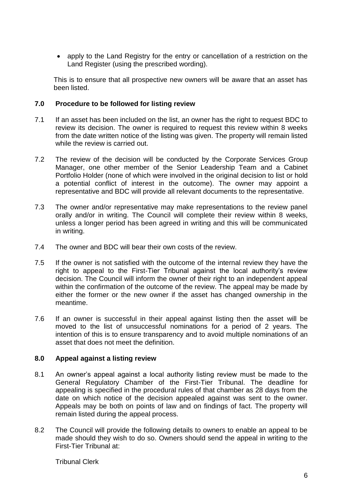• apply to the Land Registry for the entry or cancellation of a restriction on the Land Register (using the prescribed wording).

This is to ensure that all prospective new owners will be aware that an asset has been listed.

#### **7.0 Procedure to be followed for listing review**

- 7.1 If an asset has been included on the list, an owner has the right to request BDC to review its decision. The owner is required to request this review within 8 weeks from the date written notice of the listing was given. The property will remain listed while the review is carried out.
- 7.2 The review of the decision will be conducted by the Corporate Services Group Manager, one other member of the Senior Leadership Team and a Cabinet Portfolio Holder (none of which were involved in the original decision to list or hold a potential conflict of interest in the outcome). The owner may appoint a representative and BDC will provide all relevant documents to the representative.
- 7.3 The owner and/or representative may make representations to the review panel orally and/or in writing. The Council will complete their review within 8 weeks, unless a longer period has been agreed in writing and this will be communicated in writing.
- 7.4 The owner and BDC will bear their own costs of the review.
- 7.5 If the owner is not satisfied with the outcome of the internal review they have the right to appeal to the First-Tier Tribunal against the local authority's review decision. The Council will inform the owner of their right to an independent appeal within the confirmation of the outcome of the review. The appeal may be made by either the former or the new owner if the asset has changed ownership in the meantime.
- 7.6 If an owner is successful in their appeal against listing then the asset will be moved to the list of unsuccessful nominations for a period of 2 years. The intention of this is to ensure transparency and to avoid multiple nominations of an asset that does not meet the definition.

#### **8.0 Appeal against a listing review**

- 8.1 An owner's appeal against a local authority listing review must be made to the General Regulatory Chamber of the First-Tier Tribunal. The deadline for appealing is specified in the procedural rules of that chamber as 28 days from the date on which notice of the decision appealed against was sent to the owner. Appeals may be both on points of law and on findings of fact. The property will remain listed during the appeal process.
- 8.2 The Council will provide the following details to owners to enable an appeal to be made should they wish to do so. Owners should send the appeal in writing to the First-Tier Tribunal at:

Tribunal Clerk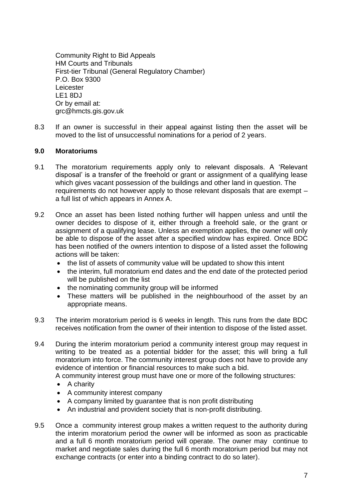Community Right to Bid Appeals HM Courts and Tribunals First-tier Tribunal (General Regulatory Chamber) P.O. Box 9300 Leicester LE1 8DJ Or by email at: grc@hmcts.gis.gov.uk

8.3 If an owner is successful in their appeal against listing then the asset will be moved to the list of unsuccessful nominations for a period of 2 years.

#### **9.0 Moratoriums**

- 9.1 The moratorium requirements apply only to relevant disposals. A 'Relevant disposal' is a transfer of the freehold or grant or assignment of a qualifying lease which gives vacant possession of the buildings and other land in question. The requirements do not however apply to those relevant disposals that are exempt – a full list of which appears in Annex A.
- 9.2 Once an asset has been listed nothing further will happen unless and until the owner decides to dispose of it, either through a freehold sale, or the grant or assignment of a qualifying lease. Unless an exemption applies, the owner will only be able to dispose of the asset after a specified window has expired. Once BDC has been notified of the owners intention to dispose of a listed asset the following actions will be taken:
	- the list of assets of community value will be updated to show this intent
	- the interim, full moratorium end dates and the end date of the protected period will be published on the list
	- the nominating community group will be informed
	- These matters will be published in the neighbourhood of the asset by an appropriate means.
- 9.3 The interim moratorium period is 6 weeks in length. This runs from the date BDC receives notification from the owner of their intention to dispose of the listed asset.
- 9.4 During the interim moratorium period a community interest group may request in writing to be treated as a potential bidder for the asset; this will bring a full moratorium into force. The community interest group does not have to provide any evidence of intention or financial resources to make such a bid.

A community interest group must have one or more of the following structures:

- $\bullet$  A charity
- A community interest company
- A company limited by guarantee that is non profit distributing
- An industrial and provident society that is non-profit distributing.
- 9.5 Once a community interest group makes a written request to the authority during the interim moratorium period the owner will be informed as soon as practicable and a full 6 month moratorium period will operate. The owner may continue to market and negotiate sales during the full 6 month moratorium period but may not exchange contracts (or enter into a binding contract to do so later).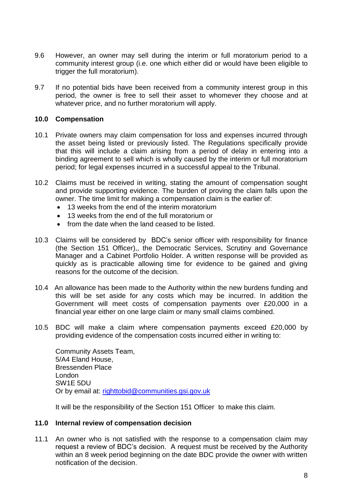- 9.6 However, an owner may sell during the interim or full moratorium period to a community interest group (i.e. one which either did or would have been eligible to trigger the full moratorium).
- 9.7 If no potential bids have been received from a community interest group in this period, the owner is free to sell their asset to whomever they choose and at whatever price, and no further moratorium will apply.

#### **10.0 Compensation**

- 10.1 Private owners may claim compensation for loss and expenses incurred through the asset being listed or previously listed. The Regulations specifically provide that this will include a claim arising from a period of delay in entering into a binding agreement to sell which is wholly caused by the interim or full moratorium period; for legal expenses incurred in a successful appeal to the Tribunal.
- 10.2 Claims must be received in writing, stating the amount of compensation sought and provide supporting evidence. The burden of proving the claim falls upon the owner. The time limit for making a compensation claim is the earlier of:
	- 13 weeks from the end of the interim moratorium
	- 13 weeks from the end of the full moratorium or
	- from the date when the land ceased to be listed.
- 10.3 Claims will be considered by BDC's senior officer with responsibility for finance (the Section 151 Officer),, the Democratic Services, Scrutiny and Governance Manager and a Cabinet Portfolio Holder. A written response will be provided as quickly as is practicable allowing time for evidence to be gained and giving reasons for the outcome of the decision.
- 10.4 An allowance has been made to the Authority within the new burdens funding and this will be set aside for any costs which may be incurred. In addition the Government will meet costs of compensation payments over £20,000 in a financial year either on one large claim or many small claims combined.
- 10.5 BDC will make a claim where compensation payments exceed £20,000 by providing evidence of the compensation costs incurred either in writing to:

Community Assets Team, 5/A4 Eland House, Bressenden Place London SW1E 5DU Or by email at: [righttobid@communities.gsi.gov.uk](mailto:righttobid@communities.gsi.gov.uk)

It will be the responsibility of the Section 151 Officer to make this claim.

#### **11.0 Internal review of compensation decision**

11.1 An owner who is not satisfied with the response to a compensation claim may request a review of BDC's decision. A request must be received by the Authority within an 8 week period beginning on the date BDC provide the owner with written notification of the decision.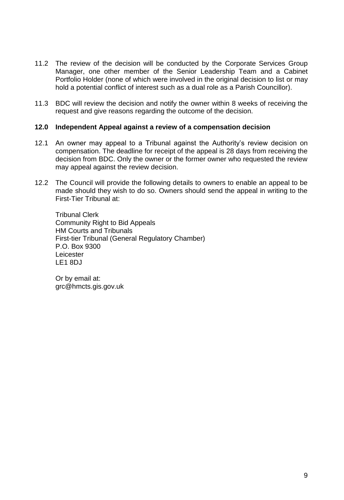- 11.2 The review of the decision will be conducted by the Corporate Services Group Manager, one other member of the Senior Leadership Team and a Cabinet Portfolio Holder (none of which were involved in the original decision to list or may hold a potential conflict of interest such as a dual role as a Parish Councillor).
- 11.3 BDC will review the decision and notify the owner within 8 weeks of receiving the request and give reasons regarding the outcome of the decision.

#### **12.0 Independent Appeal against a review of a compensation decision**

- 12.1 An owner may appeal to a Tribunal against the Authority's review decision on compensation. The deadline for receipt of the appeal is 28 days from receiving the decision from BDC. Only the owner or the former owner who requested the review may appeal against the review decision.
- 12.2 The Council will provide the following details to owners to enable an appeal to be made should they wish to do so. Owners should send the appeal in writing to the First-Tier Tribunal at:

Tribunal Clerk Community Right to Bid Appeals HM Courts and Tribunals First-tier Tribunal (General Regulatory Chamber) P.O. Box 9300 Leicester LE1 8DJ

Or by email at: grc@hmcts.gis.gov.uk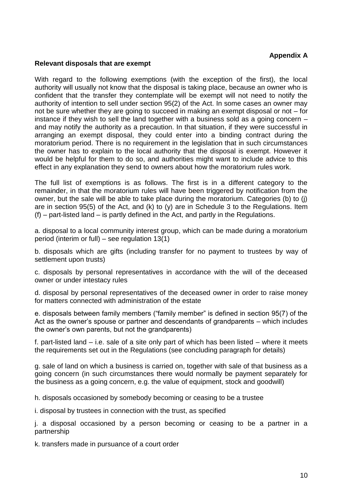#### **Appendix A**

#### **Relevant disposals that are exempt**

With regard to the following exemptions (with the exception of the first), the local authority will usually not know that the disposal is taking place, because an owner who is confident that the transfer they contemplate will be exempt will not need to notify the authority of intention to sell under section 95(2) of the Act. In some cases an owner may not be sure whether they are going to succeed in making an exempt disposal or not – for instance if they wish to sell the land together with a business sold as a going concern – and may notify the authority as a precaution. In that situation, if they were successful in arranging an exempt disposal, they could enter into a binding contract during the moratorium period. There is no requirement in the legislation that in such circumstances the owner has to explain to the local authority that the disposal is exempt. However it would be helpful for them to do so, and authorities might want to include advice to this effect in any explanation they send to owners about how the moratorium rules work.

The full list of exemptions is as follows. The first is in a different category to the remainder, in that the moratorium rules will have been triggered by notification from the owner, but the sale will be able to take place during the moratorium. Categories (b) to (j) are in section 95(5) of the Act, and (k) to (y) are in Schedule 3 to the Regulations. Item (f) – part-listed land – is partly defined in the Act, and partly in the Regulations.

a. disposal to a local community interest group, which can be made during a moratorium period (interim or full) – see regulation 13(1)

b. disposals which are gifts (including transfer for no payment to trustees by way of settlement upon trusts)

c. disposals by personal representatives in accordance with the will of the deceased owner or under intestacy rules

d. disposal by personal representatives of the deceased owner in order to raise money for matters connected with administration of the estate

e. disposals between family members ("family member" is defined in section 95(7) of the Act as the owner's spouse or partner and descendants of grandparents – which includes the owner's own parents, but not the grandparents)

f. part-listed land – i.e. sale of a site only part of which has been listed – where it meets the requirements set out in the Regulations (see concluding paragraph for details)

g. sale of land on which a business is carried on, together with sale of that business as a going concern (in such circumstances there would normally be payment separately for the business as a going concern, e.g. the value of equipment, stock and goodwill)

h. disposals occasioned by somebody becoming or ceasing to be a trustee

i. disposal by trustees in connection with the trust, as specified

j. a disposal occasioned by a person becoming or ceasing to be a partner in a partnership

k. transfers made in pursuance of a court order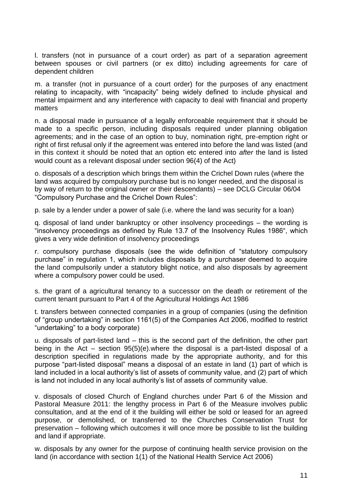l. transfers (not in pursuance of a court order) as part of a separation agreement between spouses or civil partners (or ex ditto) including agreements for care of dependent children

m. a transfer (not in pursuance of a court order) for the purposes of any enactment relating to incapacity, with "incapacity" being widely defined to include physical and mental impairment and any interference with capacity to deal with financial and property matters

n. a disposal made in pursuance of a legally enforceable requirement that it should be made to a specific person, including disposals required under planning obligation agreements; and in the case of an option to buy, nomination right, pre-emption right or right of first refusal only if the agreement was entered into before the land was listed (and in this context it should be noted that an option etc entered into *after* the land is listed would count as a relevant disposal under section 96(4) of the Act)

o. disposals of a description which brings them within the Crichel Down rules (where the land was acquired by compulsory purchase but is no longer needed, and the disposal is by way of return to the original owner or their descendants) – see DCLG Circular 06/04 "Compulsory Purchase and the Crichel Down Rules":

p. sale by a lender under a power of sale (i.e. where the land was security for a loan)

q. disposal of land under bankruptcy or other insolvency proceedings – the wording is "insolvency proceedings as defined by Rule 13.7 of the Insolvency Rules 1986", which gives a very wide definition of insolvency proceedings

r. compulsory purchase disposals (see the wide definition of "statutory compulsory purchase" in regulation 1, which includes disposals by a purchaser deemed to acquire the land compulsorily under a statutory blight notice, and also disposals by agreement where a compulsory power could be used.

s. the grant of a agricultural tenancy to a successor on the death or retirement of the current tenant pursuant to Part 4 of the Agricultural Holdings Act 1986

t. transfers between connected companies in a group of companies (using the definition of "group undertaking" in section 1161(5) of the Companies Act 2006, modified to restrict "undertaking" to a body corporate)

u. disposals of part-listed land – this is the second part of the definition, the other part being in the Act – section 95(5)(e).where the disposal is a part-listed disposal of a description specified in regulations made by the appropriate authority, and for this purpose "part-listed disposal" means a disposal of an estate in land (1) part of which is land included in a local authority's list of assets of community value, and (2) part of which is land not included in any local authority's list of assets of community value.

v. disposals of closed Church of England churches under Part 6 of the Mission and Pastoral Measure 2011: the lengthy process in Part 6 of the Measure involves public consultation, and at the end of it the building will either be sold or leased for an agreed purpose, or demolished, or transferred to the Churches Conservation Trust for preservation – following which outcomes it will once more be possible to list the building and land if appropriate.

w. disposals by any owner for the purpose of continuing health service provision on the land (in accordance with section 1(1) of the National Health Service Act 2006)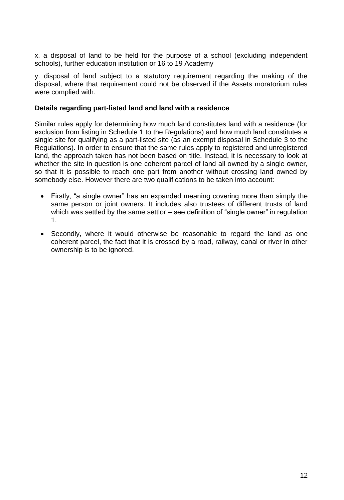x. a disposal of land to be held for the purpose of a school (excluding independent schools), further education institution or 16 to 19 Academy

y. disposal of land subject to a statutory requirement regarding the making of the disposal, where that requirement could not be observed if the Assets moratorium rules were complied with.

#### **Details regarding part-listed land and land with a residence**

Similar rules apply for determining how much land constitutes land with a residence (for exclusion from listing in Schedule 1 to the Regulations) and how much land constitutes a single site for qualifying as a part-listed site (as an exempt disposal in Schedule 3 to the Regulations). In order to ensure that the same rules apply to registered and unregistered land, the approach taken has not been based on title. Instead, it is necessary to look at whether the site in question is one coherent parcel of land all owned by a single owner, so that it is possible to reach one part from another without crossing land owned by somebody else. However there are two qualifications to be taken into account:

- Firstly, "a single owner" has an expanded meaning covering more than simply the same person or joint owners. It includes also trustees of different trusts of land which was settled by the same settlor – see definition of "single owner" in regulation 1.
- Secondly, where it would otherwise be reasonable to regard the land as one coherent parcel, the fact that it is crossed by a road, railway, canal or river in other ownership is to be ignored.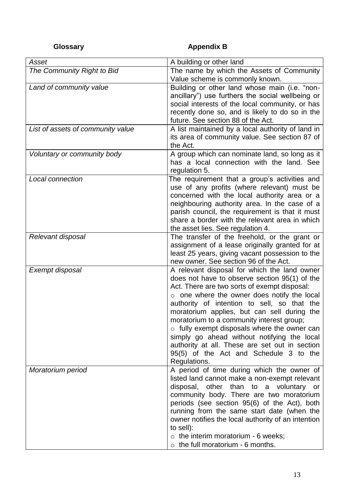# **Glossary Community Community Appendix B**

| Asset                             | A building or other land                                                                          |
|-----------------------------------|---------------------------------------------------------------------------------------------------|
| The Community Right to Bid        | The name by which the Assets of Community                                                         |
|                                   | Value scheme is commonly known.                                                                   |
| Land of community value           | Building or other land whose main (i.e. "non-                                                     |
|                                   | ancillary") use furthers the social wellbeing or                                                  |
|                                   | social interests of the local community, or has                                                   |
|                                   | recently done so, and is likely to do so in the                                                   |
|                                   | future. See section 88 of the Act.                                                                |
| List of assets of community value | A list maintained by a local authority of land in                                                 |
|                                   | its area of community value. See section 87 of                                                    |
|                                   | the Act.                                                                                          |
| Voluntary or community body       | A group which can nominate land, so long as it                                                    |
|                                   | has a local connection with the land. See                                                         |
|                                   | regulation 5.                                                                                     |
| Local connection                  | The requirement that a group's activities and                                                     |
|                                   | use of any profits (where relevant) must be                                                       |
|                                   | concerned with the local authority area or a                                                      |
|                                   | neighbouring authority area. In the case of a                                                     |
|                                   | parish council, the requirement is that it must<br>share a border with the relevant area in which |
|                                   | the asset lies. See regulation 4.                                                                 |
| Relevant disposal                 | The transfer of the freehold, or the grant or                                                     |
|                                   | assignment of a lease originally granted for at                                                   |
|                                   | least 25 years, giving vacant possession to the                                                   |
|                                   | new owner. See section 96 of the Act.                                                             |
| Exempt disposal                   | A relevant disposal for which the land owner                                                      |
|                                   | does not have to observe section 95(1) of the                                                     |
|                                   | Act. There are two sorts of exempt disposal:                                                      |
|                                   | o one where the owner does notify the local                                                       |
|                                   | authority of intention to sell, so that the                                                       |
|                                   | moratorium applies, but can sell during the                                                       |
|                                   | moratorium to a community interest group;                                                         |
|                                   | o fully exempt disposals where the owner can                                                      |
|                                   | simply go ahead without notifying the local                                                       |
|                                   | authority at all. These are set out in section                                                    |
|                                   | 95(5) of the Act and Schedule 3 to the                                                            |
|                                   | Regulations.                                                                                      |
| Moratorium period                 | A period of time during which the owner of                                                        |
|                                   | listed land cannot make a non-exempt relevant                                                     |
|                                   | disposal, other than to a voluntary or                                                            |
|                                   | community body. There are two moratorium                                                          |
|                                   | periods (see section 95(6) of the Act), both                                                      |
|                                   | running from the same start date (when the                                                        |
|                                   | owner notifies the local authority of an intention                                                |
|                                   | to sell):                                                                                         |
|                                   | $\circ$ the interim moratorium - 6 weeks;                                                         |
|                                   | the full moratorium - 6 months.                                                                   |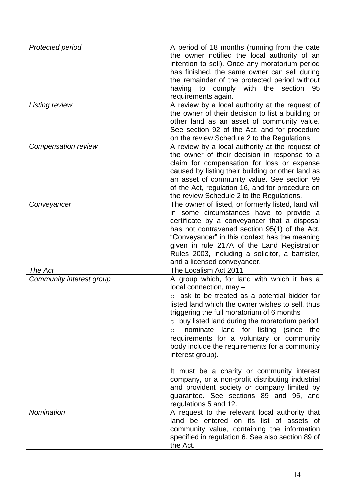| Protected period         | A period of 18 months (running from the date         |
|--------------------------|------------------------------------------------------|
|                          | the owner notified the local authority of an         |
|                          | intention to sell). Once any moratorium period       |
|                          | has finished, the same owner can sell during         |
|                          | the remainder of the protected period without        |
|                          | having<br>to comply with the section<br>95           |
|                          |                                                      |
|                          | requirements again.                                  |
| Listing review           | A review by a local authority at the request of      |
|                          | the owner of their decision to list a building or    |
|                          | other land as an asset of community value.           |
|                          | See section 92 of the Act, and for procedure         |
|                          | on the review Schedule 2 to the Regulations.         |
| Compensation review      | A review by a local authority at the request of      |
|                          | the owner of their decision in response to a         |
|                          | claim for compensation for loss or expense           |
|                          | caused by listing their building or other land as    |
|                          | an asset of community value. See section 99          |
|                          | of the Act, regulation 16, and for procedure on      |
|                          | the review Schedule 2 to the Regulations.            |
| Conveyancer              | The owner of listed, or formerly listed, land will   |
|                          | in some circumstances have to provide a              |
|                          | certificate by a conveyancer that a disposal         |
|                          | has not contravened section 95(1) of the Act.        |
|                          | "Conveyancer" in this context has the meaning        |
|                          | given in rule 217A of the Land Registration          |
|                          | Rules 2003, including a solicitor, a barrister,      |
|                          | and a licensed conveyancer.                          |
| The Act                  | The Localism Act 2011                                |
| Community interest group | A group which, for land with which it has a          |
|                          | local connection, may -                              |
|                          | ask to be treated as a potential bidder for          |
|                          | listed land which the owner wishes to sell, thus     |
|                          | triggering the full moratorium of 6 months           |
|                          | $\circ$ buy listed land during the moratorium period |
|                          | nominate land for listing (since<br>the<br>$\circ$   |
|                          | requirements for a voluntary or community            |
|                          | body include the requirements for a community        |
|                          | interest group).                                     |
|                          |                                                      |
|                          | It must be a charity or community interest           |
|                          | company, or a non-profit distributing industrial     |
|                          | and provident society or company limited by          |
|                          | guarantee. See sections 89 and 95, and               |
|                          | regulations 5 and 12.                                |
| Nomination               | A request to the relevant local authority that       |
|                          | land be entered on its list of assets of             |
|                          | community value, containing the information          |
|                          | specified in regulation 6. See also section 89 of    |
|                          | the Act.                                             |
|                          |                                                      |